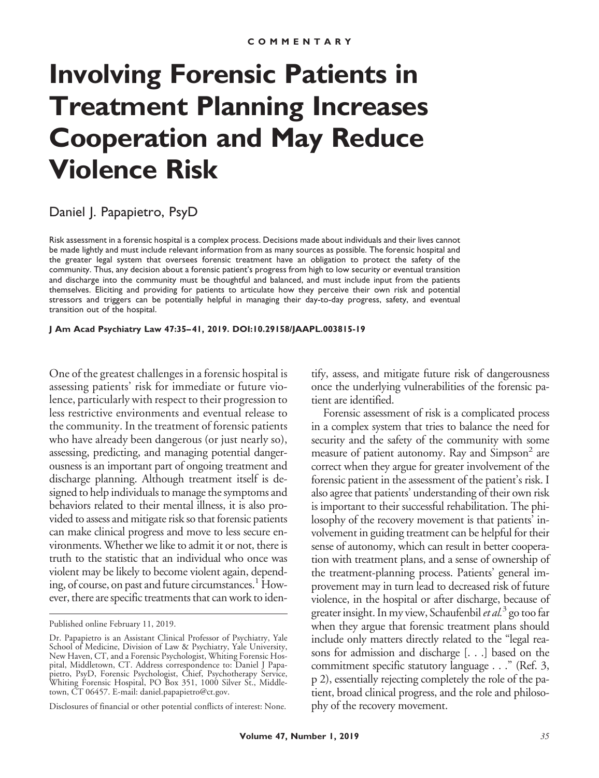# **Involving Forensic Patients in Treatment Planning Increases Cooperation and May Reduce Violence Risk**

## Daniel J. Papapietro, PsyD

Risk assessment in a forensic hospital is a complex process. Decisions made about individuals and their lives cannot be made lightly and must include relevant information from as many sources as possible. The forensic hospital and the greater legal system that oversees forensic treatment have an obligation to protect the safety of the community. Thus, any decision about a forensic patient's progress from high to low security or eventual transition and discharge into the community must be thoughtful and balanced, and must include input from the patients themselves. Eliciting and providing for patients to articulate how they perceive their own risk and potential stressors and triggers can be potentially helpful in managing their day-to-day progress, safety, and eventual transition out of the hospital.

**J Am Acad Psychiatry Law 47:35– 41, 2019. DOI:10.29158/JAAPL.003815-19**

One of the greatest challenges in a forensic hospital is assessing patients' risk for immediate or future violence, particularly with respect to their progression to less restrictive environments and eventual release to the community. In the treatment of forensic patients who have already been dangerous (or just nearly so), assessing, predicting, and managing potential dangerousness is an important part of ongoing treatment and discharge planning. Although treatment itself is designed to help individuals to manage the symptoms and behaviors related to their mental illness, it is also provided to assess and mitigate risk so that forensic patients can make clinical progress and move to less secure environments. Whether we like to admit it or not, there is truth to the statistic that an individual who once was violent may be likely to become violent again, depending, of course, on past and future circumstances.<sup>1</sup> However, there are specific treatments that can work to identify, assess, and mitigate future risk of dangerousness once the underlying vulnerabilities of the forensic patient are identified.

Forensic assessment of risk is a complicated process in a complex system that tries to balance the need for security and the safety of the community with some measure of patient autonomy. Ray and Simpson<sup>2</sup> are correct when they argue for greater involvement of the forensic patient in the assessment of the patient's risk. I also agree that patients' understanding of their own risk is important to their successful rehabilitation. The philosophy of the recovery movement is that patients' involvement in guiding treatment can be helpful for their sense of autonomy, which can result in better cooperation with treatment plans, and a sense of ownership of the treatment-planning process. Patients' general improvement may in turn lead to decreased risk of future violence, in the hospital or after discharge, because of greater insight. In my view, Schaufenbil*et al.*<sup>3</sup> go too far when they argue that forensic treatment plans should include only matters directly related to the "legal reasons for admission and discharge [. . .] based on the commitment specific statutory language . . ." (Ref. 3, p 2), essentially rejecting completely the role of the patient, broad clinical progress, and the role and philosophy of the recovery movement.

Published online February 11, 2019.

Dr. Papapietro is an Assistant Clinical Professor of Psychiatry, Yale School of Medicine, Division of Law & Psychiatry, Yale University, New Haven, CT, and a Forensic Psychologist, Whiting Forensic Hospital, Middletown, CT. Address correspondence to: Daniel J Papapietro, PsyD, Forensic Psychologist, Chief, Psychotherapy Service, Whiting Forensic Hospital, PO Box 351, 1000 Silver St., Middletown, CT 06457. E-mail: daniel.papapietro@ct.gov.

Disclosures of financial or other potential conflicts of interest: None.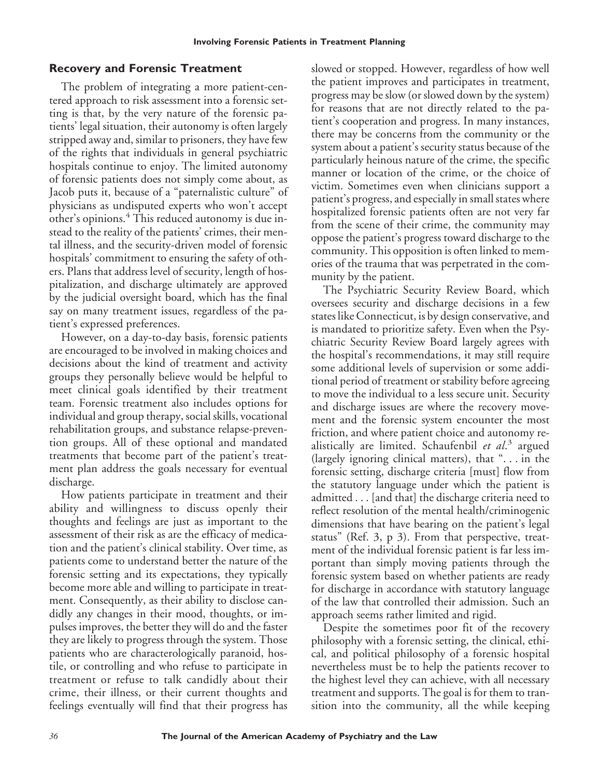## **Recovery and Forensic Treatment**

The problem of integrating a more patient-centered approach to risk assessment into a forensic setting is that, by the very nature of the forensic patients' legal situation, their autonomy is often largely stripped away and, similar to prisoners, they have few of the rights that individuals in general psychiatric hospitals continue to enjoy. The limited autonomy of forensic patients does not simply come about, as Jacob puts it, because of a "paternalistic culture" of physicians as undisputed experts who won't accept other's opinions.<sup>4</sup> This reduced autonomy is due instead to the reality of the patients' crimes, their mental illness, and the security-driven model of forensic hospitals' commitment to ensuring the safety of others. Plans that address level of security, length of hospitalization, and discharge ultimately are approved by the judicial oversight board, which has the final say on many treatment issues, regardless of the patient's expressed preferences.

However, on a day-to-day basis, forensic patients are encouraged to be involved in making choices and decisions about the kind of treatment and activity groups they personally believe would be helpful to meet clinical goals identified by their treatment team. Forensic treatment also includes options for individual and group therapy, social skills, vocational rehabilitation groups, and substance relapse-prevention groups. All of these optional and mandated treatments that become part of the patient's treatment plan address the goals necessary for eventual discharge.

How patients participate in treatment and their ability and willingness to discuss openly their thoughts and feelings are just as important to the assessment of their risk as are the efficacy of medication and the patient's clinical stability. Over time, as patients come to understand better the nature of the forensic setting and its expectations, they typically become more able and willing to participate in treatment. Consequently, as their ability to disclose candidly any changes in their mood, thoughts, or impulses improves, the better they will do and the faster they are likely to progress through the system. Those patients who are characterologically paranoid, hostile, or controlling and who refuse to participate in treatment or refuse to talk candidly about their crime, their illness, or their current thoughts and feelings eventually will find that their progress has slowed or stopped. However, regardless of how well the patient improves and participates in treatment, progress may be slow (or slowed down by the system) for reasons that are not directly related to the patient's cooperation and progress. In many instances, there may be concerns from the community or the system about a patient's security status because of the particularly heinous nature of the crime, the specific manner or location of the crime, or the choice of victim. Sometimes even when clinicians support a patient's progress, and especially in small states where hospitalized forensic patients often are not very far from the scene of their crime, the community may oppose the patient's progress toward discharge to the community. This opposition is often linked to memories of the trauma that was perpetrated in the community by the patient.

The Psychiatric Security Review Board, which oversees security and discharge decisions in a few states like Connecticut, is by design conservative, and is mandated to prioritize safety. Even when the Psychiatric Security Review Board largely agrees with the hospital's recommendations, it may still require some additional levels of supervision or some additional period of treatment or stability before agreeing to move the individual to a less secure unit. Security and discharge issues are where the recovery movement and the forensic system encounter the most friction, and where patient choice and autonomy realistically are limited. Schaufenbil *et al*. <sup>3</sup> argued (largely ignoring clinical matters), that ". . . in the forensic setting, discharge criteria [must] flow from the statutory language under which the patient is admitted... [and that] the discharge criteria need to reflect resolution of the mental health/criminogenic dimensions that have bearing on the patient's legal status" (Ref. 3, p 3). From that perspective, treatment of the individual forensic patient is far less important than simply moving patients through the forensic system based on whether patients are ready for discharge in accordance with statutory language of the law that controlled their admission. Such an approach seems rather limited and rigid.

Despite the sometimes poor fit of the recovery philosophy with a forensic setting, the clinical, ethical, and political philosophy of a forensic hospital nevertheless must be to help the patients recover to the highest level they can achieve, with all necessary treatment and supports. The goal is for them to transition into the community, all the while keeping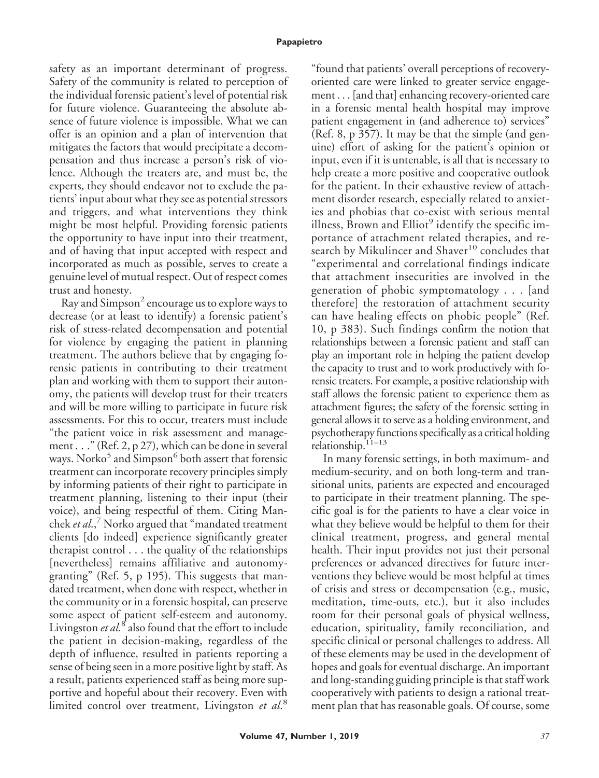safety as an important determinant of progress. Safety of the community is related to perception of the individual forensic patient's level of potential risk for future violence. Guaranteeing the absolute absence of future violence is impossible. What we can offer is an opinion and a plan of intervention that mitigates the factors that would precipitate a decompensation and thus increase a person's risk of violence. Although the treaters are, and must be, the experts, they should endeavor not to exclude the patients' input about what they see as potential stressors and triggers, and what interventions they think might be most helpful. Providing forensic patients the opportunity to have input into their treatment, and of having that input accepted with respect and incorporated as much as possible, serves to create a genuine level of mutual respect. Out of respect comes trust and honesty.

Ray and Simpson $^2$  encourage us to explore ways to decrease (or at least to identify) a forensic patient's risk of stress-related decompensation and potential for violence by engaging the patient in planning treatment. The authors believe that by engaging forensic patients in contributing to their treatment plan and working with them to support their autonomy, the patients will develop trust for their treaters and will be more willing to participate in future risk assessments. For this to occur, treaters must include "the patient voice in risk assessment and management . . ." (Ref. 2, p 27), which can be done in several ways. Norko<sup>5</sup> and Simpson<sup>6</sup> both assert that forensic treatment can incorporate recovery principles simply by informing patients of their right to participate in treatment planning, listening to their input (their voice), and being respectful of them. Citing Manchek *et al.*,<sup>7</sup> Norko argued that "mandated treatment" clients [do indeed] experience significantly greater therapist control . . . the quality of the relationships [nevertheless] remains affiliative and autonomygranting" (Ref. 5, p 195). This suggests that mandated treatment, when done with respect, whether in the community or in a forensic hospital, can preserve some aspect of patient self-esteem and autonomy. Livingston *et al.*<sup>8</sup> also found that the effort to include the patient in decision-making, regardless of the depth of influence, resulted in patients reporting a sense of being seen in a more positive light by staff. As a result, patients experienced staff as being more supportive and hopeful about their recovery. Even with limited control over treatment, Livingston *et al*. 8

"found that patients' overall perceptions of recoveryoriented care were linked to greater service engagement . . . [and that] enhancing recovery-oriented care in a forensic mental health hospital may improve patient engagement in (and adherence to) services" (Ref. 8, p 357). It may be that the simple (and genuine) effort of asking for the patient's opinion or input, even if it is untenable, is all that is necessary to help create a more positive and cooperative outlook for the patient. In their exhaustive review of attachment disorder research, especially related to anxieties and phobias that co-exist with serious mental illness, Brown and Elliot<sup>9</sup> identify the specific importance of attachment related therapies, and research by Mikulincer and Shaver $10$  concludes that "experimental and correlational findings indicate that attachment insecurities are involved in the generation of phobic symptomatology... [and therefore] the restoration of attachment security can have healing effects on phobic people" (Ref. 10, p 383). Such findings confirm the notion that relationships between a forensic patient and staff can play an important role in helping the patient develop the capacity to trust and to work productively with forensic treaters. For example, a positive relationship with staff allows the forensic patient to experience them as attachment figures; the safety of the forensic setting in general allows it to serve as a holding environment, and psychotherapy functions specifically as a critical holding relationship. $11-13$ 

In many forensic settings, in both maximum- and medium-security, and on both long-term and transitional units, patients are expected and encouraged to participate in their treatment planning. The specific goal is for the patients to have a clear voice in what they believe would be helpful to them for their clinical treatment, progress, and general mental health. Their input provides not just their personal preferences or advanced directives for future interventions they believe would be most helpful at times of crisis and stress or decompensation (e.g., music, meditation, time-outs, etc.), but it also includes room for their personal goals of physical wellness, education, spirituality, family reconciliation, and specific clinical or personal challenges to address. All of these elements may be used in the development of hopes and goals for eventual discharge. An important and long-standing guiding principle is that staff work cooperatively with patients to design a rational treatment plan that has reasonable goals. Of course, some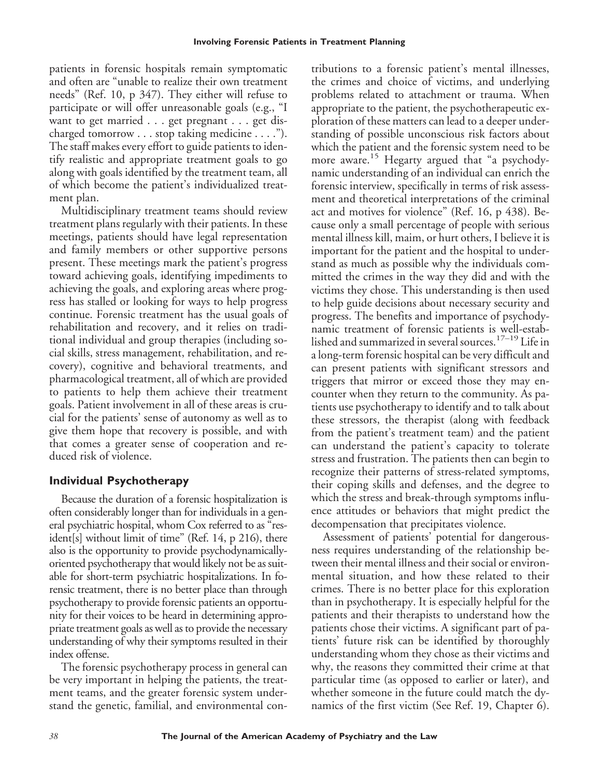patients in forensic hospitals remain symptomatic and often are "unable to realize their own treatment needs" (Ref. 10, p 347). They either will refuse to participate or will offer unreasonable goals (e.g., "I want to get married . . . get pregnant . . . get discharged tomorrow... stop taking medicine... ."). The staff makes every effort to guide patients to identify realistic and appropriate treatment goals to go along with goals identified by the treatment team, all of which become the patient's individualized treatment plan.

Multidisciplinary treatment teams should review treatment plans regularly with their patients. In these meetings, patients should have legal representation and family members or other supportive persons present. These meetings mark the patient's progress toward achieving goals, identifying impediments to achieving the goals, and exploring areas where progress has stalled or looking for ways to help progress continue. Forensic treatment has the usual goals of rehabilitation and recovery, and it relies on traditional individual and group therapies (including social skills, stress management, rehabilitation, and recovery), cognitive and behavioral treatments, and pharmacological treatment, all of which are provided to patients to help them achieve their treatment goals. Patient involvement in all of these areas is crucial for the patients' sense of autonomy as well as to give them hope that recovery is possible, and with that comes a greater sense of cooperation and reduced risk of violence.

## **Individual Psychotherapy**

Because the duration of a forensic hospitalization is often considerably longer than for individuals in a general psychiatric hospital, whom Cox referred to as "resident[s] without limit of time" (Ref. 14, p 216), there also is the opportunity to provide psychodynamicallyoriented psychotherapy that would likely not be as suitable for short-term psychiatric hospitalizations. In forensic treatment, there is no better place than through psychotherapy to provide forensic patients an opportunity for their voices to be heard in determining appropriate treatment goals as well as to provide the necessary understanding of why their symptoms resulted in their index offense.

The forensic psychotherapy process in general can be very important in helping the patients, the treatment teams, and the greater forensic system understand the genetic, familial, and environmental con-

tributions to a forensic patient's mental illnesses, the crimes and choice of victims, and underlying problems related to attachment or trauma. When appropriate to the patient, the psychotherapeutic exploration of these matters can lead to a deeper understanding of possible unconscious risk factors about which the patient and the forensic system need to be more aware.<sup>15</sup> Hegarty argued that "a psychodynamic understanding of an individual can enrich the forensic interview, specifically in terms of risk assessment and theoretical interpretations of the criminal act and motives for violence" (Ref. 16, p 438). Because only a small percentage of people with serious mental illness kill, maim, or hurt others, I believe it is important for the patient and the hospital to understand as much as possible why the individuals committed the crimes in the way they did and with the victims they chose. This understanding is then used to help guide decisions about necessary security and progress. The benefits and importance of psychodynamic treatment of forensic patients is well-established and summarized in several sources.17–19 Life in a long-term forensic hospital can be very difficult and can present patients with significant stressors and triggers that mirror or exceed those they may encounter when they return to the community. As patients use psychotherapy to identify and to talk about these stressors, the therapist (along with feedback from the patient's treatment team) and the patient can understand the patient's capacity to tolerate stress and frustration. The patients then can begin to recognize their patterns of stress-related symptoms, their coping skills and defenses, and the degree to which the stress and break-through symptoms influence attitudes or behaviors that might predict the decompensation that precipitates violence.

Assessment of patients' potential for dangerousness requires understanding of the relationship between their mental illness and their social or environmental situation, and how these related to their crimes. There is no better place for this exploration than in psychotherapy. It is especially helpful for the patients and their therapists to understand how the patients chose their victims. A significant part of patients' future risk can be identified by thoroughly understanding whom they chose as their victims and why, the reasons they committed their crime at that particular time (as opposed to earlier or later), and whether someone in the future could match the dynamics of the first victim (See Ref. 19, Chapter 6).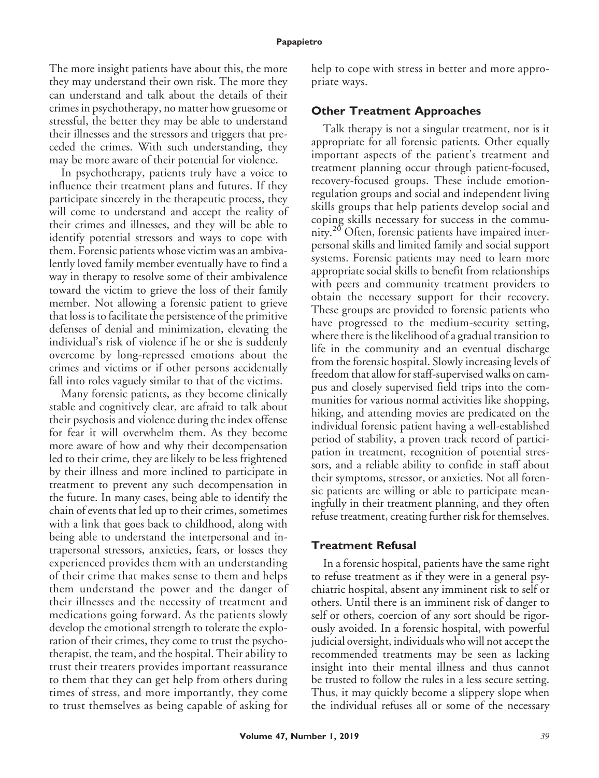#### **Papapietro**

The more insight patients have about this, the more they may understand their own risk. The more they can understand and talk about the details of their crimes in psychotherapy, no matter how gruesome or stressful, the better they may be able to understand their illnesses and the stressors and triggers that preceded the crimes. With such understanding, they may be more aware of their potential for violence.

In psychotherapy, patients truly have a voice to influence their treatment plans and futures. If they participate sincerely in the therapeutic process, they will come to understand and accept the reality of their crimes and illnesses, and they will be able to identify potential stressors and ways to cope with them. Forensic patients whose victim was an ambivalently loved family member eventually have to find a way in therapy to resolve some of their ambivalence toward the victim to grieve the loss of their family member. Not allowing a forensic patient to grieve that loss is to facilitate the persistence of the primitive defenses of denial and minimization, elevating the individual's risk of violence if he or she is suddenly overcome by long-repressed emotions about the crimes and victims or if other persons accidentally fall into roles vaguely similar to that of the victims.

Many forensic patients, as they become clinically stable and cognitively clear, are afraid to talk about their psychosis and violence during the index offense for fear it will overwhelm them. As they become more aware of how and why their decompensation led to their crime, they are likely to be less frightened by their illness and more inclined to participate in treatment to prevent any such decompensation in the future. In many cases, being able to identify the chain of events that led up to their crimes, sometimes with a link that goes back to childhood, along with being able to understand the interpersonal and intrapersonal stressors, anxieties, fears, or losses they experienced provides them with an understanding of their crime that makes sense to them and helps them understand the power and the danger of their illnesses and the necessity of treatment and medications going forward. As the patients slowly develop the emotional strength to tolerate the exploration of their crimes, they come to trust the psychotherapist, the team, and the hospital. Their ability to trust their treaters provides important reassurance to them that they can get help from others during times of stress, and more importantly, they come to trust themselves as being capable of asking for

help to cope with stress in better and more appropriate ways.

#### **Other Treatment Approaches**

Talk therapy is not a singular treatment, nor is it appropriate for all forensic patients. Other equally important aspects of the patient's treatment and treatment planning occur through patient-focused, recovery-focused groups. These include emotionregulation groups and social and independent living skills groups that help patients develop social and coping skills necessary for success in the community.<sup>20</sup> Often, forensic patients have impaired interpersonal skills and limited family and social support systems. Forensic patients may need to learn more appropriate social skills to benefit from relationships with peers and community treatment providers to obtain the necessary support for their recovery. These groups are provided to forensic patients who have progressed to the medium-security setting, where there is the likelihood of a gradual transition to life in the community and an eventual discharge from the forensic hospital. Slowly increasing levels of freedom that allow for staff-supervised walks on campus and closely supervised field trips into the communities for various normal activities like shopping, hiking, and attending movies are predicated on the individual forensic patient having a well-established period of stability, a proven track record of participation in treatment, recognition of potential stressors, and a reliable ability to confide in staff about their symptoms, stressor, or anxieties. Not all forensic patients are willing or able to participate meaningfully in their treatment planning, and they often refuse treatment, creating further risk for themselves.

## **Treatment Refusal**

In a forensic hospital, patients have the same right to refuse treatment as if they were in a general psychiatric hospital, absent any imminent risk to self or others. Until there is an imminent risk of danger to self or others, coercion of any sort should be rigorously avoided. In a forensic hospital, with powerful judicial oversight, individuals who will not accept the recommended treatments may be seen as lacking insight into their mental illness and thus cannot be trusted to follow the rules in a less secure setting. Thus, it may quickly become a slippery slope when the individual refuses all or some of the necessary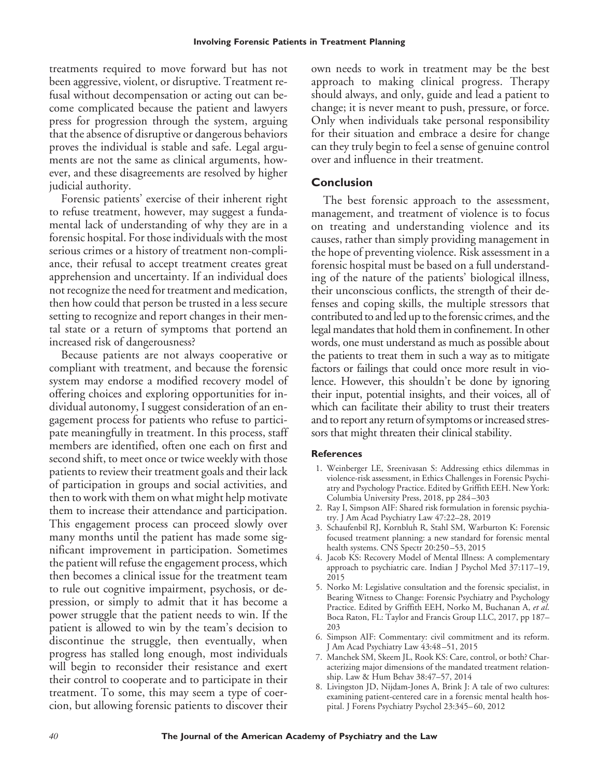treatments required to move forward but has not been aggressive, violent, or disruptive. Treatment refusal without decompensation or acting out can become complicated because the patient and lawyers press for progression through the system, arguing that the absence of disruptive or dangerous behaviors proves the individual is stable and safe. Legal arguments are not the same as clinical arguments, however, and these disagreements are resolved by higher judicial authority.

Forensic patients' exercise of their inherent right to refuse treatment, however, may suggest a fundamental lack of understanding of why they are in a forensic hospital. For those individuals with the most serious crimes or a history of treatment non-compliance, their refusal to accept treatment creates great apprehension and uncertainty. If an individual does not recognize the need for treatment and medication, then how could that person be trusted in a less secure setting to recognize and report changes in their mental state or a return of symptoms that portend an increased risk of dangerousness?

Because patients are not always cooperative or compliant with treatment, and because the forensic system may endorse a modified recovery model of offering choices and exploring opportunities for individual autonomy, I suggest consideration of an engagement process for patients who refuse to participate meaningfully in treatment. In this process, staff members are identified, often one each on first and second shift, to meet once or twice weekly with those patients to review their treatment goals and their lack of participation in groups and social activities, and then to work with them on what might help motivate them to increase their attendance and participation. This engagement process can proceed slowly over many months until the patient has made some significant improvement in participation. Sometimes the patient will refuse the engagement process, which then becomes a clinical issue for the treatment team to rule out cognitive impairment, psychosis, or depression, or simply to admit that it has become a power struggle that the patient needs to win. If the patient is allowed to win by the team's decision to discontinue the struggle, then eventually, when progress has stalled long enough, most individuals will begin to reconsider their resistance and exert their control to cooperate and to participate in their treatment. To some, this may seem a type of coercion, but allowing forensic patients to discover their

own needs to work in treatment may be the best approach to making clinical progress. Therapy should always, and only, guide and lead a patient to change; it is never meant to push, pressure, or force. Only when individuals take personal responsibility for their situation and embrace a desire for change can they truly begin to feel a sense of genuine control over and influence in their treatment.

#### **Conclusion**

The best forensic approach to the assessment, management, and treatment of violence is to focus on treating and understanding violence and its causes, rather than simply providing management in the hope of preventing violence. Risk assessment in a forensic hospital must be based on a full understanding of the nature of the patients' biological illness, their unconscious conflicts, the strength of their defenses and coping skills, the multiple stressors that contributed to and led up to the forensic crimes, and the legal mandates that hold them in confinement. In other words, one must understand as much as possible about the patients to treat them in such a way as to mitigate factors or failings that could once more result in violence. However, this shouldn't be done by ignoring their input, potential insights, and their voices, all of which can facilitate their ability to trust their treaters and to report any return of symptoms or increased stressors that might threaten their clinical stability.

#### **References**

- 1. Weinberger LE, Sreenivasan S: Addressing ethics dilemmas in violence-risk assessment, in Ethics Challenges in Forensic Psychiatry and Psychology Practice. Edited by Griffith EEH. New York: Columbia University Press, 2018, pp 284 –303
- 2. Ray I, Simpson AIF: Shared risk formulation in forensic psychiatry. J Am Acad Psychiatry Law 47:22–28, 2019
- 3. Schaufenbil RJ, Kornbluh R, Stahl SM, Warburton K: Forensic focused treatment planning: a new standard for forensic mental health systems. CNS Spectr 20:250-53, 2015
- 4. Jacob KS: Recovery Model of Mental Illness: A complementary approach to psychiatric care. Indian J Psychol Med 37:117–19, 2015
- 5. Norko M: Legislative consultation and the forensic specialist, in Bearing Witness to Change: Forensic Psychiatry and Psychology Practice. Edited by Griffith EEH, Norko M, Buchanan A, *et al*. Boca Raton, FL: Taylor and Francis Group LLC, 2017, pp 187– 203
- 6. Simpson AIF: Commentary: civil commitment and its reform. J Am Acad Psychiatry Law 43:48 –51, 2015
- 7. Manchek SM, Skeem JL, Rook KS: Care, control, or both? Characterizing major dimensions of the mandated treatment relationship. Law & Hum Behav 38:47–57, 2014
- 8. Livingston JD, Nijdam-Jones A, Brink J: A tale of two cultures: examining patient-centered care in a forensic mental health hospital. J Forens Psychiatry Psychol 23:345-60, 2012